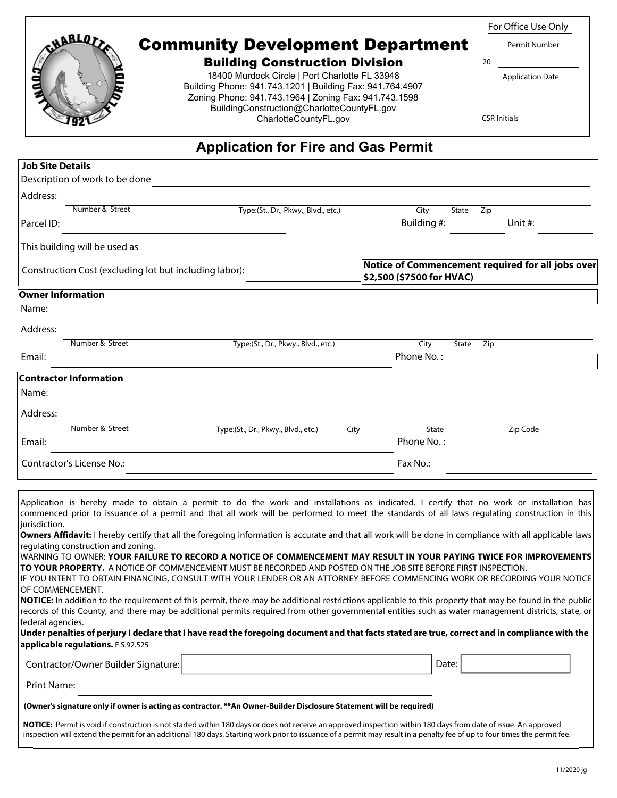# Community Development Department

### Building Construction Division

18400 Murdock Circle | Port Charlotte FL 33948 Building Phone: 941.743.1201 | Building Fax: 941.764.4907 Zoning Phone: 941.743.1964 | Zoning Fax: 941.743.1598 BuildingConstruction@CharlotteCountyFL.gov CharlotteCountyFL.gov

For Office Use Only

Permit Number

Application Date

CSR Initials

20

## **Application for Fire and Gas Permit**

| <b>Job Site Details</b>  |                                                        |                                                                                |               |       |     |          |
|--------------------------|--------------------------------------------------------|--------------------------------------------------------------------------------|---------------|-------|-----|----------|
|                          | Description of work to be done                         |                                                                                |               |       |     |          |
| Address:                 |                                                        |                                                                                |               |       |     |          |
|                          | Number & Street                                        | Type:(St., Dr., Pkwy., Blvd., etc.)                                            | City          | State | Zip |          |
| Parcel ID:               |                                                        |                                                                                | Building #:   |       |     | Unit #:  |
|                          | This building will be used as                          |                                                                                |               |       |     |          |
|                          | Construction Cost (excluding lot but including labor): | Notice of Commencement required for all jobs over<br>\$2,500 (\$7500 for HVAC) |               |       |     |          |
| <b>Owner Information</b> |                                                        |                                                                                |               |       |     |          |
| Name:                    |                                                        |                                                                                |               |       |     |          |
| Address:                 |                                                        |                                                                                |               |       |     |          |
|                          | Number & Street                                        | Type:(St., Dr., Pkwy., Blvd., etc.)                                            | City          | State | Zip |          |
| Email:                   |                                                        |                                                                                | Phone No.:    |       |     |          |
|                          | <b>Contractor Information</b>                          |                                                                                |               |       |     |          |
| Name:                    |                                                        |                                                                                |               |       |     |          |
| Address:                 |                                                        |                                                                                |               |       |     |          |
|                          | Number & Street                                        | Type:(St., Dr., Pkwy., Blvd., etc.)                                            | State<br>City |       |     | Zip Code |
| Email:                   |                                                        |                                                                                | Phone No.:    |       |     |          |
|                          | Contractor's License No.:                              | Fax No.:                                                                       |               |       |     |          |
|                          |                                                        |                                                                                |               |       |     |          |

Application is hereby made to obtain a permit to do the work and installations as indicated. I certify that no work or installation has commenced prior to issuance of a permit and that all work will be performed to meet the standards of all laws regulating construction in this jurisdiction.

**Owners Affidavit:** I hereby certify that all the foregoing information is accurate and that all work will be done in compliance with all applicable laws regulating construction and zoning.

WARNING TO OWNER: **YOUR FAILURE TO RECORD A NOTICE OF COMMENCEMENT MAY RESULT IN YOUR PAYING TWICE FOR IMPROVEMENTS TO YOUR PROPERTY.** A NOTICE OF COMMENCEMENT MUST BE RECORDED AND POSTED ON THE JOB SITE BEFORE FIRST INSPECTION.

IF YOU INTENT TO OBTAIN FINANCING, CONSULT WITH YOUR LENDER OR AN ATTORNEY BEFORE COMMENCING WORK OR RECORDING YOUR NOTICE OF COMMENCEMENT.

**NOTICE:** In addition to the requirement of this permit, there may be additional restrictions applicable to this property that may be found in the public records of this County, and there may be additional permits required from other governmental entities such as water management districts, state, or federal agencies.

**Under penalties of perjury I declare that I have read the foregoing document and that facts stated are true, correct and in compliance with the applicable regulations.** F.S.92.525

| Contractor/Owner Builder Signature: | Date: |  |
|-------------------------------------|-------|--|
| Print Name:                         |       |  |

#### **(Owner's signature only if owner is acting as contractor. \*\*An Owner-Builder Disclosure Statement will be required)**

**NOTICE:** Permit is void if construction is not started within 180 days or does not receive an approved inspection within 180 days from date of issue. An approved inspection will extend the permit for an additional 180 days. Starting work prior to issuance of a permit may result in a penalty fee of up to four times the permit fee.